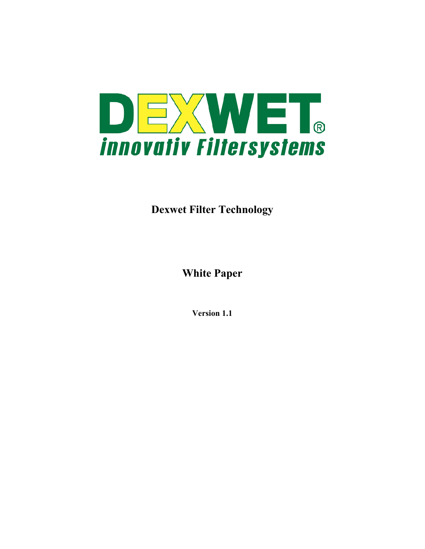

**Dexwet Filter Technology** 

**White Paper** 

**Version 1.1**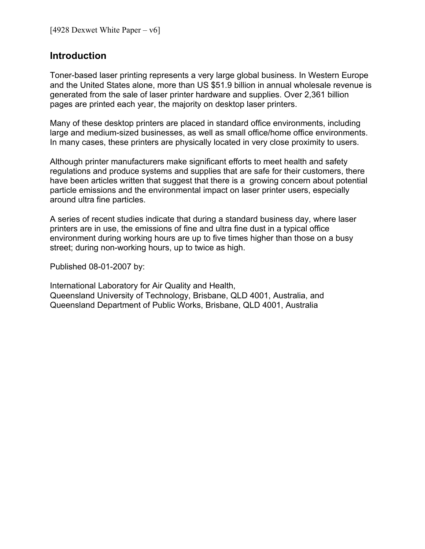### **Introduction**

Toner-based laser printing represents a very large global business. In Western Europe and the United States alone, more than US \$51.9 billion in annual wholesale revenue is generated from the sale of laser printer hardware and supplies. Over 2,361 billion pages are printed each year, the majority on desktop laser printers.

Many of these desktop printers are placed in standard office environments, including large and medium-sized businesses, as well as small office/home office environments. In many cases, these printers are physically located in very close proximity to users.

Although printer manufacturers make significant efforts to meet health and safety regulations and produce systems and supplies that are safe for their customers, there have been articles written that suggest that there is a growing concern about potential particle emissions and the environmental impact on laser printer users, especially around ultra fine particles.

A series of recent studies indicate that during a standard business day, where laser printers are in use, the emissions of fine and ultra fine dust in a typical office environment during working hours are up to five times higher than those on a busy street; during non-working hours, up to twice as high.

Published 08-01-2007 by:

International Laboratory for Air Quality and Health, Queensland University of Technology, Brisbane, QLD 4001, Australia, and Queensland Department of Public Works, Brisbane, QLD 4001, Australia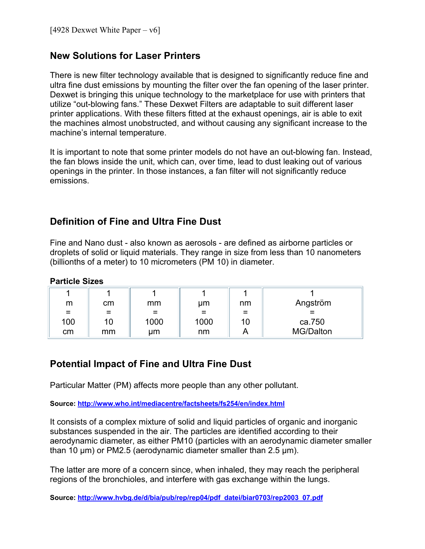# **New Solutions for Laser Printers**

There is new filter technology available that is designed to significantly reduce fine and ultra fine dust emissions by mounting the filter over the fan opening of the laser printer. Dexwet is bringing this unique technology to the marketplace for use with printers that utilize "out-blowing fans." These Dexwet Filters are adaptable to suit different laser printer applications. With these filters fitted at the exhaust openings, air is able to exit the machines almost unobstructed, and without causing any significant increase to the machine's internal temperature.

It is important to note that some printer models do not have an out-blowing fan. Instead, the fan blows inside the unit, which can, over time, lead to dust leaking out of various openings in the printer. In those instances, a fan filter will not significantly reduce emissions.

# **Definition of Fine and Ultra Fine Dust**

Fine and Nano dust - also known as aerosols - are defined as airborne particles or droplets of solid or liquid materials. They range in size from less than 10 nanometers (billionths of a meter) to 10 [micrometers](http://en.wikipedia.org/wiki/Micrometre) (PM 10) in diameter.

#### **Particle Sizes**

| m   | cm | mm       | μm   | nm  | Angström  |
|-----|----|----------|------|-----|-----------|
| $=$ | =  | $\equiv$ | $=$  | $=$ | ⋍         |
| 100 | 10 | 1000     | 1000 | 10  | ca.750    |
| cm  | mm | um       | nm   |     | MG/Dalton |

# **Potential Impact of Fine and Ultra Fine Dust**

Particular Matter (PM) affects more people than any other pollutant.

**Source:<http://www.who.int/mediacentre/factsheets/fs254/en/index.html>**

It consists of a complex mixture of solid and liquid particles of organic and inorganic substances suspended in the air. The particles are identified according to their aerodynamic diameter, as either PM10 (particles with an aerodynamic diameter smaller than 10 µm) or PM2.5 (aerodynamic diameter smaller than 2.5 µm).

The latter are more of a concern since, when inhaled, they may reach the peripheral regions of the bronchioles, and interfere with gas exchange within the lungs.

**Source: [http://www.hvbg.de/d/bia/pub/rep/rep04/pdf\\_datei/biar0703/rep2003\\_07.pdf](http://www.hvbg.de/d/bia/pub/rep/rep04/pdf_datei/biar0703/rep2003_07.pdf)**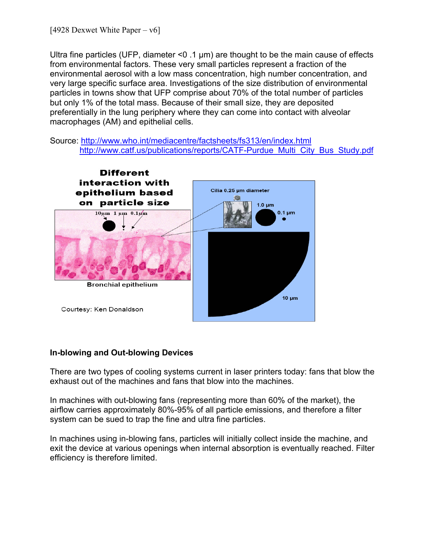Ultra fine particles (UFP, diameter  $\leq$  0 .1 µm) are thought to be the main cause of effects from environmental factors. These very small particles represent a fraction of the environmental aerosol with a low mass concentration, high number concentration, and very large specific surface area. Investigations of the size distribution of environmental particles in towns show that UFP comprise about 70% of the total number of particles but only 1% of the total mass. Because of their small size, they are deposited preferentially in the lung periphery where they can come into contact with alveolar macrophages (AM) and epithelial cells.

Source: <http://www.who.int/mediacentre/factsheets/fs313/en/index.html> [http://www.catf.us/publications/reports/CATF-Purdue\\_Multi\\_City\\_Bus\\_Study.pdf](http://www.catf.us/publications/reports/CATF-Purdue_Multi_City_Bus_Study.pdf)



#### **In-blowing and Out-blowing Devices**

There are two types of cooling systems current in laser printers today: fans that blow the exhaust out of the machines and fans that blow into the machines.

In machines with out-blowing fans (representing more than 60% of the market), the airflow carries approximately 80%-95% of all particle emissions, and therefore a filter system can be sued to trap the fine and ultra fine particles.

In machines using in-blowing fans, particles will initially collect inside the machine, and exit the device at various openings when internal absorption is eventually reached. Filter efficiency is therefore limited.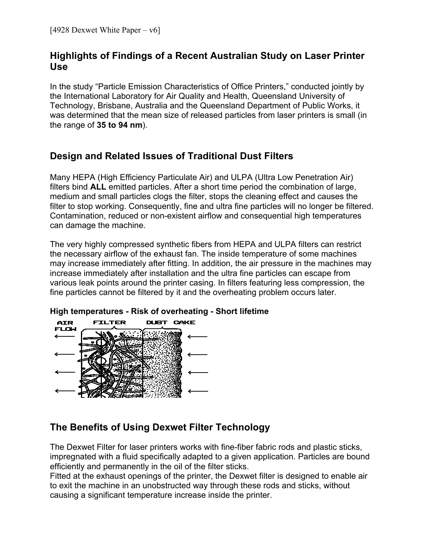# **Highlights of Findings of a Recent Australian Study on Laser Printer Use**

In the study "Particle Emission Characteristics of Office Printers," conducted jointly by the International Laboratory for Air Quality and Health, Queensland University of Technology, Brisbane, Australia and the Queensland Department of Public Works, it was determined that the mean size of released particles from laser printers is small (in the range of **35 to 94 nm**).

# **Design and Related Issues of Traditional Dust Filters**

Many HEPA (High Efficiency Particulate Air) and ULPA (Ultra Low Penetration Air) filters bind **ALL** emitted particles. After a short time period the combination of large, medium and small particles clogs the filter, stops the cleaning effect and causes the filter to stop working. Consequently, fine and ultra fine particles will no longer be filtered. Contamination, reduced or non-existent airflow and consequential high temperatures can damage the machine.

The very highly compressed synthetic fibers from HEPA and ULPA filters can restrict the necessary airflow of the exhaust fan. The inside temperature of some machines may increase immediately after fitting. In addition, the air pressure in the machines may increase immediately after installation and the ultra fine particles can escape from various leak points around the printer casing. In filters featuring less compression, the fine particles cannot be filtered by it and the overheating problem occurs later.

### **High temperatures - Risk of overheating - Short lifetime**



# **The Benefits of Using Dexwet Filter Technology**

The Dexwet Filter for laser printers works with fine-fiber fabric rods and plastic sticks, impregnated with a fluid specifically adapted to a given application. Particles are bound efficiently and permanently in the oil of the filter sticks.

Fitted at the exhaust openings of the printer, the Dexwet filter is designed to enable air to exit the machine in an unobstructed way through these rods and sticks, without causing a significant temperature increase inside the printer.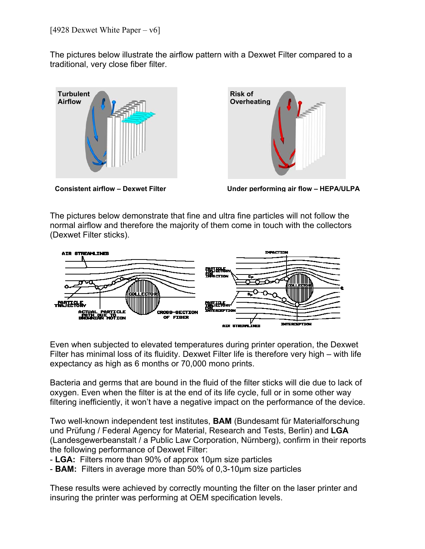The pictures below illustrate the airflow pattern with a Dexwet Filter compared to a traditional, very close fiber filter.





**Consistent airflow – Dexwet Filter Under performing air flow – HEPA/ULPA** 

The pictures below demonstrate that fine and ultra fine particles will not follow the normal airflow and therefore the majority of them come in touch with the collectors (Dexwet Filter sticks).



Even when subjected to elevated temperatures during printer operation, the Dexwet Filter has minimal loss of its fluidity. Dexwet Filter life is therefore very high – with life expectancy as high as 6 months or 70,000 mono prints.

Bacteria and germs that are bound in the fluid of the filter sticks will die due to lack of oxygen. Even when the filter is at the end of its life cycle, full or in some other way filtering inefficiently, it won't have a negative impact on the performance of the device.

Two well-known independent test institutes, **BAM** (Bundesamt für Materialforschung und Prüfung / Federal Agency for Material, Research and Tests, Berlin) and **LGA** (Landesgewerbeanstalt / a Public Law Corporation, Nürnberg), confirm in their reports the following performance of Dexwet Filter:

- **LGA:** Filters more than 90% of approx 10µm size particles
- **BAM:** Filters in average more than 50% of 0,3-10µm size particles

These results were achieved by correctly mounting the filter on the laser printer and insuring the printer was performing at OEM specification levels.